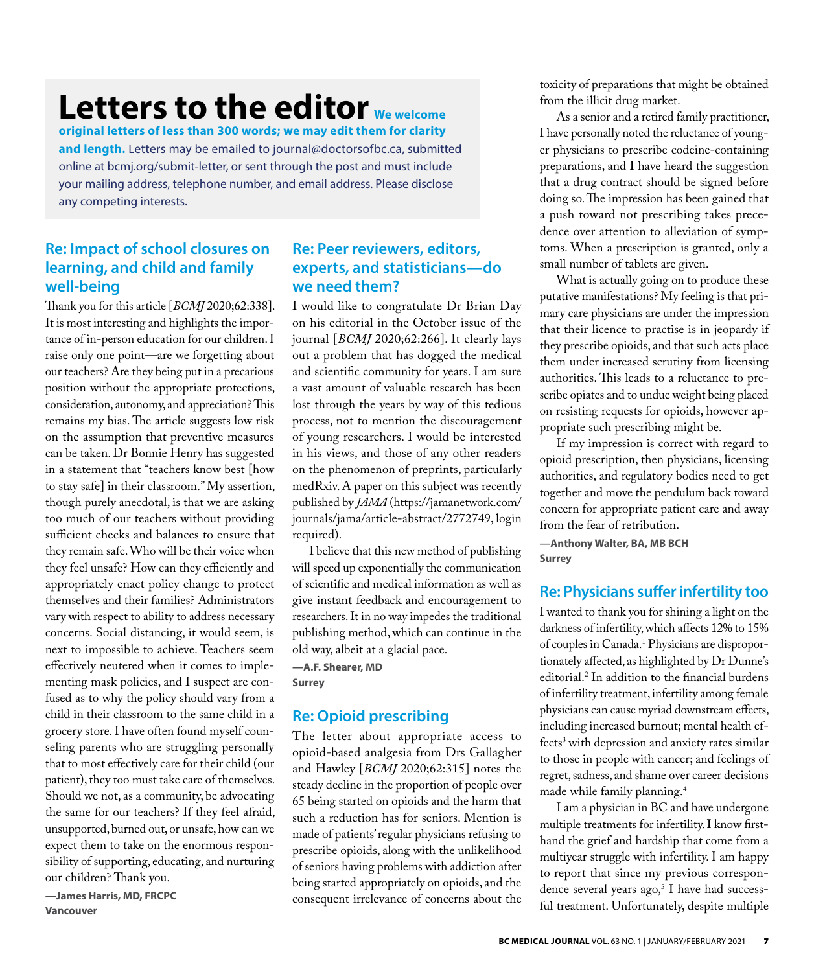# **Letters to the editor We welcome**

**original letters of less than 300 words; we may edit them for clarity and length.** Letters may be emailed to journal@doctorsofbc.ca, submitted online at bcmj.org/submit-letter, or sent through the post and must include your mailing address, telephone number, and email address. Please disclose any competing interests.

# **Re: Impact of school closures on learning, and child and family well-being**

Thank you for this article [*BCMJ* 2020;62:338]. It is most interesting and highlights the importance of in-person education for our children. I raise only one point—are we forgetting about our teachers? Are they being put in a precarious position without the appropriate protections, consideration, autonomy, and appreciation? This remains my bias. The article suggests low risk on the assumption that preventive measures can be taken. Dr Bonnie Henry has suggested in a statement that "teachers know best [how to stay safe] in their classroom." My assertion, though purely anecdotal, is that we are asking too much of our teachers without providing sufficient checks and balances to ensure that they remain safe. Who will be their voice when they feel unsafe? How can they efficiently and appropriately enact policy change to protect themselves and their families? Administrators vary with respect to ability to address necessary concerns. Social distancing, it would seem, is next to impossible to achieve. Teachers seem effectively neutered when it comes to implementing mask policies, and I suspect are confused as to why the policy should vary from a child in their classroom to the same child in a grocery store. I have often found myself counseling parents who are struggling personally that to most effectively care for their child (our patient), they too must take care of themselves. Should we not, as a community, be advocating the same for our teachers? If they feel afraid, unsupported, burned out, or unsafe, how can we expect them to take on the enormous responsibility of supporting, educating, and nurturing our children? Thank you.

**—James Harris, MD, FRCPC Vancouver**

# **Re: Peer reviewers, editors, experts, and statisticians—do we need them?**

I would like to congratulate Dr Brian Day on his editorial in the October issue of the journal [*BCMJ* 2020;62:266]. It clearly lays out a problem that has dogged the medical and scientific community for years. I am sure a vast amount of valuable research has been lost through the years by way of this tedious process, not to mention the discouragement of young researchers. I would be interested in his views, and those of any other readers on the phenomenon of preprints, particularly medRxiv. A paper on this subject was recently published by *JAMA* (https://jamanetwork.com/ journals/jama/article-abstract/2772749, login required).

I believe that this new method of publishing will speed up exponentially the communication of scientific and medical information as well as give instant feedback and encouragement to researchers. It in no way impedes the traditional publishing method, which can continue in the old way, albeit at a glacial pace.

**—A.F. Shearer, MD Surrey**

# **Re: Opioid prescribing**

The letter about appropriate access to opioid-based analgesia from Drs Gallagher and Hawley [*BCMJ* 2020;62:315] notes the steady decline in the proportion of people over 65 being started on opioids and the harm that such a reduction has for seniors. Mention is made of patients' regular physicians refusing to prescribe opioids, along with the unlikelihood of seniors having problems with addiction after being started appropriately on opioids, and the consequent irrelevance of concerns about the

toxicity of preparations that might be obtained from the illicit drug market.

As a senior and a retired family practitioner, I have personally noted the reluctance of younger physicians to prescribe codeine-containing preparations, and I have heard the suggestion that a drug contract should be signed before doing so. The impression has been gained that a push toward not prescribing takes precedence over attention to alleviation of symptoms. When a prescription is granted, only a small number of tablets are given.

What is actually going on to produce these putative manifestations? My feeling is that primary care physicians are under the impression that their licence to practise is in jeopardy if they prescribe opioids, and that such acts place them under increased scrutiny from licensing authorities. This leads to a reluctance to prescribe opiates and to undue weight being placed on resisting requests for opioids, however appropriate such prescribing might be.

If my impression is correct with regard to opioid prescription, then physicians, licensing authorities, and regulatory bodies need to get together and move the pendulum back toward concern for appropriate patient care and away from the fear of retribution.

**—Anthony Walter, BA, MB BCH Surrey**

# **Re: Physicians suffer infertility too**

I wanted to thank you for shining a light on the darkness of infertility, which affects 12% to 15% of couples in Canada.1 Physicians are disproportionately affected, as highlighted by Dr Dunne's editorial.2 In addition to the financial burdens of infertility treatment, infertility among female physicians can cause myriad downstream effects, including increased burnout; mental health effects3 with depression and anxiety rates similar to those in people with cancer; and feelings of regret, sadness, and shame over career decisions made while family planning.4

I am a physician in BC and have undergone multiple treatments for infertility. I know firsthand the grief and hardship that come from a multiyear struggle with infertility. I am happy to report that since my previous correspondence several years ago,<sup>5</sup> I have had successful treatment. Unfortunately, despite multiple